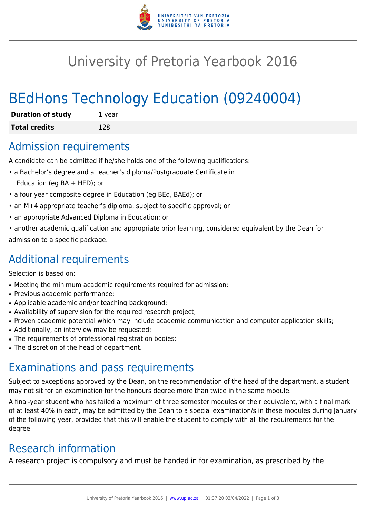

## University of Pretoria Yearbook 2016

# BEdHons Technology Education (09240004)

| <b>Duration of study</b> | 1 year |
|--------------------------|--------|
| <b>Total credits</b>     | 128    |

#### Admission requirements

A candidate can be admitted if he/she holds one of the following qualifications:

- a Bachelor's degree and a teacher's diploma/Postgraduate Certificate in Education (eg BA + HED); or
- a four year composite degree in Education (eg BEd, BAEd); or
- an M+4 appropriate teacher's diploma, subject to specific approval; or
- an appropriate Advanced Diploma in Education; or
- another academic qualification and appropriate prior learning, considered equivalent by the Dean for admission to a specific package.

#### Additional requirements

Selection is based on:

- Meeting the minimum academic requirements required for admission;
- Previous academic performance:
- Applicable academic and/or teaching background;
- Availability of supervision for the required research project;
- Proven academic potential which may include academic communication and computer application skills;
- Additionally, an interview may be requested;
- The requirements of professional registration bodies;
- The discretion of the head of department.

## Examinations and pass requirements

Subject to exceptions approved by the Dean, on the recommendation of the head of the department, a student may not sit for an examination for the honours degree more than twice in the same module.

A final-year student who has failed a maximum of three semester modules or their equivalent, with a final mark of at least 40% in each, may be admitted by the Dean to a special examination/s in these modules during January of the following year, provided that this will enable the student to comply with all the requirements for the degree.

## Research information

A research project is compulsory and must be handed in for examination, as prescribed by the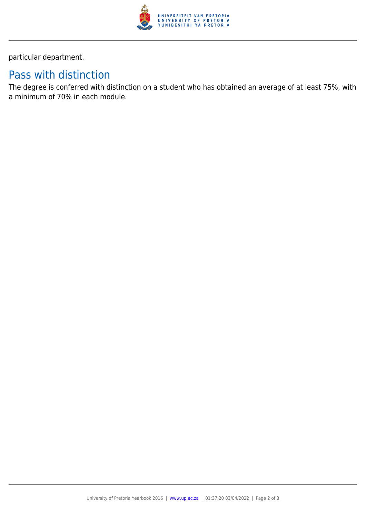

particular department.

### Pass with distinction

The degree is conferred with distinction on a student who has obtained an average of at least 75%, with a minimum of 70% in each module.